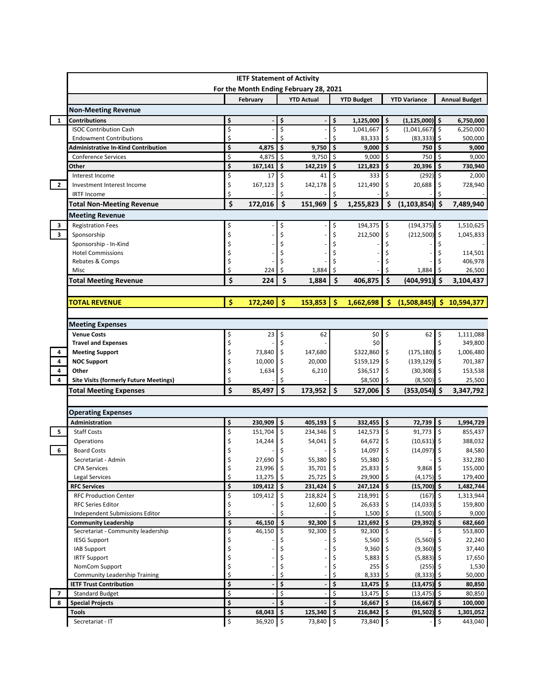|                |                                               |                                 | For the Month Ending February 28, 2021 |    |                   |              |                   |                     |                     |                     |                                                       |  |
|----------------|-----------------------------------------------|---------------------------------|----------------------------------------|----|-------------------|--------------|-------------------|---------------------|---------------------|---------------------|-------------------------------------------------------|--|
|                |                                               |                                 | February                               |    | <b>YTD Actual</b> |              | <b>YTD Budget</b> |                     | <b>YTD Variance</b> |                     | <b>Annual Budget</b>                                  |  |
|                | <b>Non-Meeting Revenue</b>                    |                                 |                                        |    |                   |              |                   |                     |                     |                     |                                                       |  |
| 1              | <b>Contributions</b>                          | \$                              |                                        | \$ |                   | \$           | 1,125,000         | \$                  | $(1, 125, 000)$ \$  |                     | 6,750,000                                             |  |
|                | <b>ISOC Contribution Cash</b>                 | \$                              |                                        | \$ |                   | \$           | 1,041,667         | \$                  | (1,041,667)         | \$                  | 6,250,000                                             |  |
|                | <b>Endowment Contributions</b>                | \$                              |                                        | \$ |                   | \$           | 83,333            | \$                  | (83, 333)           | -\$                 | 500,000                                               |  |
|                | <b>Administrative In-Kind Contribution</b>    | \$                              | 4,875                                  | \$ | 9,750             | \$           | 9,000             | \$                  | 750                 | \$                  | 9,000                                                 |  |
|                | <b>Conference Services</b>                    | \$                              | 4,875                                  | \$ | 9,750             | \$           | 9,000             | \$                  | 750                 | \$                  | 9,000                                                 |  |
|                | Other                                         | \$                              | 167,141                                | \$ | 142,219           | \$           | 121,823           | \$                  | 20,396              | \$                  | 730,940                                               |  |
|                | Interest Income                               | \$                              | 17                                     | \$ | 41                | \$           | 333               | \$                  | (292)               | \$                  | 2,000                                                 |  |
| $\overline{2}$ | Investment Interest Income                    | \$                              | 167,123                                | \$ | 142,178           | \$           | 121,490           | \$                  | 20,688              | \$                  | 728,940                                               |  |
|                | <b>IRTF Income</b>                            | \$                              |                                        | \$ |                   | Ś            |                   | Ś                   |                     |                     |                                                       |  |
|                | <b>Total Non-Meeting Revenue</b>              | \$                              | 172,016                                | \$ | 151,969           | \$           | 1,255,823         | \$                  | (1, 103, 854)       | l\$                 | 7,489,940                                             |  |
|                | <b>Meeting Revenue</b>                        |                                 |                                        |    |                   |              |                   |                     |                     |                     |                                                       |  |
| 3              | <b>Registration Fees</b>                      | \$                              |                                        | \$ |                   | \$           | 194,375           | \$                  | (194, 375)          | l\$                 | 1,510,625                                             |  |
| 3              | Sponsorship                                   | \$                              |                                        | Ś  |                   | Ś            | 212,500           | \$                  | (212, 500)          | \$                  | 1,045,833                                             |  |
|                | Sponsorship - In-Kind                         | \$                              |                                        |    |                   |              |                   |                     |                     |                     |                                                       |  |
|                | <b>Hotel Commissions</b>                      | \$                              |                                        |    |                   |              |                   |                     |                     |                     | 114,501                                               |  |
|                | Rebates & Comps                               | \$                              |                                        |    |                   |              |                   |                     |                     |                     | 406,978                                               |  |
|                | Misc                                          | \$                              | 224                                    | \$ | 1,884             | \$           |                   | Ś                   | 1,884               | -S                  | 26,500                                                |  |
|                | <b>Total Meeting Revenue</b>                  | \$                              | 224                                    | Ś  | 1,884             | Ś            | 406,875           | Ś                   | (404, 991)          | Ś                   | 3,104,437                                             |  |
|                |                                               |                                 |                                        |    |                   |              |                   |                     |                     |                     |                                                       |  |
|                | <b>TOTAL REVENUE</b>                          | Ś                               | 172,240                                | Ŝ  | 153.853           | Ŝ.           | 1,662,698         | Ŝ.                  | (1,508,845)         |                     | \$10,594,377                                          |  |
|                |                                               |                                 |                                        |    |                   |              |                   |                     |                     |                     |                                                       |  |
|                | <b>Meeting Expenses</b>                       |                                 |                                        |    |                   |              |                   |                     |                     |                     |                                                       |  |
|                | <b>Venue Costs</b>                            | \$                              | 23                                     | \$ | 62                |              | \$0               | \$                  | 62                  | \$                  | 1,111,088                                             |  |
|                | <b>Travel and Expenses</b>                    | \$                              |                                        | \$ |                   |              | \$0               |                     |                     | \$                  | 349,800                                               |  |
| 4              | <b>Meeting Support</b>                        | \$                              | 73,840                                 | \$ | 147,680           |              | \$322,860         | \$                  | (175, 180)          | l\$                 | 1,006,480                                             |  |
| 4              | <b>NOC Support</b>                            | \$                              | 10,000                                 | \$ | 20,000            |              | \$159,129         | \$                  | (139, 129)          | -\$                 | 701,387                                               |  |
| 4              | Other                                         | \$                              | 1,634                                  | \$ | 6,210             |              | \$36,517          | \$                  | (30, 308)           | -\$                 | 153,538                                               |  |
| 4              | <b>Site Visits (formerly Future Meetings)</b> | Ś                               |                                        |    |                   |              | \$8,500           | -\$                 | (8,500)             | Ŝ.                  | 25,500                                                |  |
|                | <b>Total Meeting Expenses</b>                 | Ś                               | 85,497                                 | \$ | 173,952           | $\mathsf{S}$ | 527,006           | $\ddot{\bm{\zeta}}$ | $(353,054)$ \$      |                     | 3,347,792                                             |  |
|                |                                               |                                 |                                        |    |                   |              |                   |                     |                     |                     |                                                       |  |
|                |                                               |                                 |                                        |    |                   |              |                   |                     |                     |                     |                                                       |  |
|                | <b>Operating Expenses</b>                     |                                 |                                        |    |                   | \$           | 332,455           | $\ddot{\bm{\zeta}}$ | 72,739              | ۱\$                 | 1,994,729                                             |  |
|                | Administration                                | \$                              | 230,909                                | \$ | 405,193           |              |                   |                     | 91,773              | $\ddot{\mathsf{S}}$ | 855,437                                               |  |
|                | <b>Staff Costs</b>                            | \$                              | 151,704                                | \$ | 234,346           | \$           | 142,573           | $\ddot{\mathsf{S}}$ |                     |                     |                                                       |  |
|                | Operations                                    | \$                              | 14,244                                 | \$ | 54,041            | \$           | 64,672            | \$                  | $(10,631)$ \$       |                     | 388,032                                               |  |
|                | <b>Board Costs</b>                            | \$                              |                                        | \$ |                   | \$           | 14,097            | \$                  | $(14,097)$ \$       |                     | 84,580                                                |  |
| 5<br>6         | Secretariat - Admin                           | \$                              | 27,690                                 | \$ | 55,380            | \$           | 55,380            | \$                  |                     | \$                  | 332,280                                               |  |
|                | <b>CPA Services</b>                           | \$                              | 23,996 \$                              |    | 35,701 \$         |              | $25,833$ \$       |                     | 9,868 \$            |                     | 155,000                                               |  |
|                | Legal Services                                | \$                              | 13,275                                 | \$ | 25,725            | \$           | 29,900            | \$                  | $(4, 175)$ \$       |                     |                                                       |  |
|                | <b>RFC Services</b>                           | \$                              | 109,412                                | \$ | 231,424           | \$           | 247,124           | \$                  | $(15,700)$ \$       |                     |                                                       |  |
|                | <b>RFC Production Center</b>                  | \$                              | 109,412                                | \$ | 218,824           | Ś.           | 218,991           | \$                  | (167)               | \$                  |                                                       |  |
|                | <b>RFC Series Editor</b>                      | \$                              |                                        |    | 12,600            | \$           | 26,633            | \$                  | (14,033)            | -\$                 |                                                       |  |
|                | Independent Submissions Editor                | \$                              |                                        | Ś  |                   | Ś.           | 1,500             | \$                  | (1,500)             | -\$                 | 179,400<br>1,482,744<br>1,313,944<br>159,800<br>9,000 |  |
|                | <b>Community Leadership</b>                   | $\boldsymbol{\zeta}$            | 46,150                                 | \$ | 92,300            | \$           | 121,692           | \$                  | $(29, 392)$ \$      |                     | 682,660                                               |  |
|                | Secretariat - Community leadership            | \$                              | 46,150                                 | \$ | 92,300            | \$           | 92,300            | \$                  |                     | \$.                 | 553,800                                               |  |
|                | <b>IESG Support</b>                           | \$                              |                                        |    |                   |              | 5,560             | -\$                 | (5, 560)            | -\$                 | 22,240                                                |  |
|                | <b>IAB Support</b>                            | \$                              |                                        | \$ |                   | \$           | 9,360             | \$                  | (9, 360)            | \$                  |                                                       |  |
|                | <b>IRTF Support</b>                           | \$                              |                                        | \$ |                   | \$           | 5,883             | \$                  | $(5,883)$ \$        |                     | 37,440<br>17,650                                      |  |
|                | NomCom Support                                | \$                              |                                        | \$ |                   |              | 255               |                     | (255)               |                     | 1,530                                                 |  |
|                | <b>Community Leadership Training</b>          | \$                              |                                        | \$ |                   | \$           | 8,333             | Ś                   | (8, 333)            | Ŝ.                  | 50,000                                                |  |
|                | <b>IETF Trust Contribution</b>                | \$                              |                                        | \$ |                   | \$           | 13,475            | \$                  | (13, 475)           | \$                  | 80,850                                                |  |
| $\overline{7}$ | <b>Standard Budget</b>                        | \$                              |                                        | \$ |                   | \$           | 13,475            | \$                  | (13, 475)           | \$.                 | 80,850                                                |  |
| 8              | <b>Special Projects</b>                       | \$                              |                                        | \$ |                   | \$           | 16,667            | \$                  | (16, 667)           | Ŝ.                  | 100,000                                               |  |
|                | <b>Tools</b>                                  | \$<br>$\boldsymbol{\mathsf{S}}$ | 68,043                                 | \$ | 125,340           | \$           | 216,842           | \$.                 | (91, 502)           | Ŝ.                  | 1,301,052                                             |  |